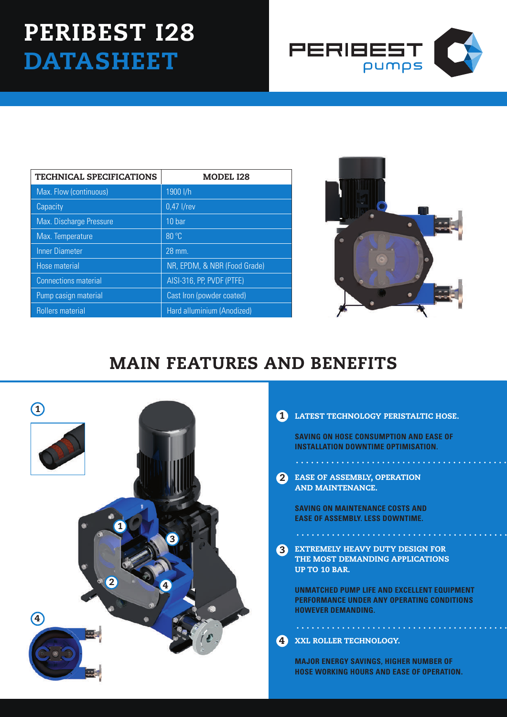# PERIBEST I28 **DATASHEET**



| <b>TECHNICAL SPECIFICATIONS</b> | <b>MODEL I28</b>             |  |
|---------------------------------|------------------------------|--|
| Max. Flow (continuous)          | 1900 l/h                     |  |
| Capacity                        | $0.47$ I/rev                 |  |
| Max. Discharge Pressure         | 10 bar                       |  |
| Max. Temperature                | 80 °C                        |  |
| <b>Inner Diameter</b>           | 28 mm.                       |  |
| Hose material                   | NR, EPDM, & NBR (Food Grade) |  |
| <b>Connections material</b>     | AISI-316, PP, PVDF (PTFE)    |  |
| Pump casign material            | Cast Iron (powder coated)    |  |
| Rollers material                | Hard alluminium (Anodized)   |  |



## MAIN FEATURES AND BENEFITS



#### 1 LATEST TECHNOLOGY PERISTALTIC HOSE.

**SAVING ON HOSE CONSUMPTION AND EASE OF INSTALLATION DOWNTIME OPTIMISATION.**

2 EASE OF ASSEMBLY, OPE AND MAINTENANCE.

. . . . . . . . . . . . . . . . .

**SAVING ON MAINTENANCE COSTS AND EASE OF ASSEMBLY. LESS DOWNTIME.**

EXTREMELY HEAVY DUTY DESIGN FOR THE MOST DEMANDING APPLICATIONS UP TO 10 BAR. 3

. **. . . . . . . . . . . . . . .** .

**UNMATCHED PUMP LIFE AND EXCELLENT EQUIPMENT PERFORMANCE UNDER ANY OPERATING CONDITIONS HOWEVER DEMANDING.**

#### XXL ROLLER TECHNOLOGY. 4

. . . . . . . . . . . . . . . . . . . .

**MAJOR ENERGY SAVINGS, HIGHER NUMBER OF HOSE WORKING HOURS AND EASE OF OPERATION.**